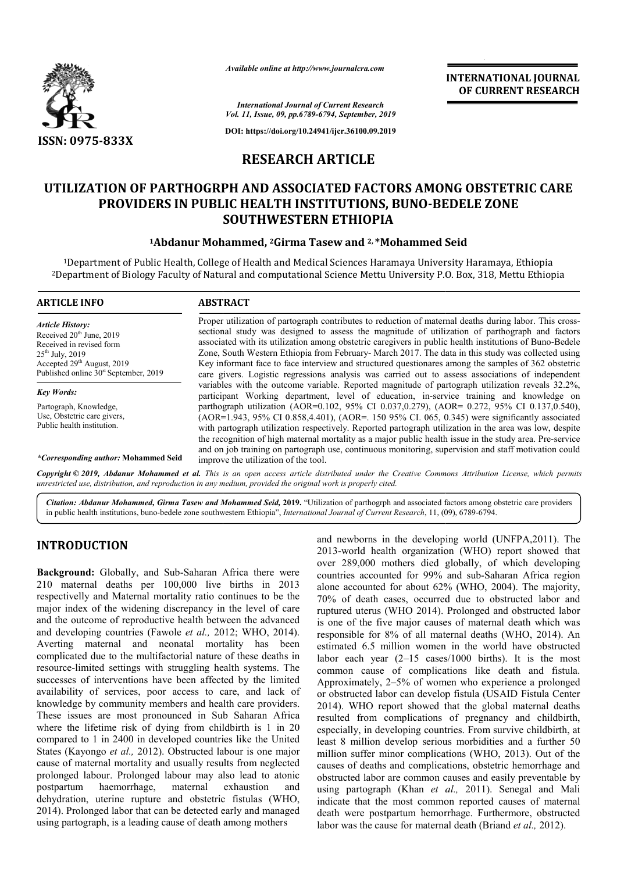

*Available online at http://www.journalcra.com*

**INTERNATIONAL JOURNAL OF CURRENT RESEARCH**

*International Journal of Current Research Vol. 11, Issue, 09, pp.6789-6794, September, 2019*

**DOI: https://doi.org/10.24941/ijcr.36100.09.2019**

# **RESEARCH ARTICLE**

# **UTILIZATION OF PARTHOGRPH AND ASSOCIATED FACTORS AMONG OBSTETRIC CARE<br>PROVIDERS IN PUBLIC HEALTH INSTITUTIONS, BUNO-BEDELE ZONE<br>SOUTHWESTERN ETHIOPIA<br><sup>1</sup>Abdanur Mohammed, <sup>2</sup>Girma Tasew and <sup>2, \*</sup>Mohammed Seid PROVIDERS IN PUBLIC HEALTH INSTITUTIONS, BU BUNO-BEDELE ZONE SOUTHWESTERN ETHIOPIA**

## **1Abdanur Mohammed Abdanur Mohammed, 2Girma Tasew and 2, \*Mohammed Seid**

 $^{\rm 1}$ Department of Public Health, College of Health and Medical Sciences Haramaya University Haramaya, Ethiopia <sup>2</sup>Department of Biology Faculty of Natural and computational Science Mettu University P.O. Box, 318, Mettu Ethiopia

| <b>ARTICLE INFO</b>                                                               | <b>ABSTRACT</b>                                                                                                                                                                                                                                                                                                                               |
|-----------------------------------------------------------------------------------|-----------------------------------------------------------------------------------------------------------------------------------------------------------------------------------------------------------------------------------------------------------------------------------------------------------------------------------------------|
| <b>Article History:</b><br>Received 20 <sup>th</sup> June, 2019                   | Proper utilization of partograph contributes to reduction of maternal deaths during labor. This cross-<br>sectional study was designed to assess the magnitude of utilization of parthograph and factors                                                                                                                                      |
| Received in revised form                                                          | associated with its utilization among obstetric caregivers in public health institutions of Buno-Bedele                                                                                                                                                                                                                                       |
| $25^{th}$ July, 2019                                                              | Zone, South Western Ethiopia from February- March 2017. The data in this study was collected using                                                                                                                                                                                                                                            |
| Accepted $29th$ August, 2019<br>Published online 30 <sup>st</sup> September, 2019 | Key informant face to face interview and structured questionares among the samples of 362 obstetric<br>care givers. Logistic regressions analysis was carried out to assess associations of independent                                                                                                                                       |
| <b>Key Words:</b>                                                                 | variables with the outcome variable. Reported magnitude of partograph utilization reveals 32.2%,<br>participant Working department, level of education, in-service training and knowledge on                                                                                                                                                  |
| Partograph, Knowledge,                                                            | parthograph utilization (AOR=0.102, 95% CI 0.037,0.279), (AOR= 0.272, 95% CI 0.137,0.540),                                                                                                                                                                                                                                                    |
| Use, Obstetric care givers,<br>Public health institution.                         | $(AOR=1.943, 95\% \text{ CI } 0.858, 4.401)$ , $(AOR=150, 95\% \text{ CI } 0.065, 0.345)$ were significantly associated<br>with partograph utilization respectively. Reported partograph utilization in the area was low, despite<br>the recognition of high maternal mortality as a major public health issue in the study area. Pre-service |
| <i>*Corresponding author:</i> Mohammed Seid                                       | and on job training on partograph use, continuous monitoring, supervision and staff motivation could<br>improve the utilization of the tool.                                                                                                                                                                                                  |

Copyright © 2019, Abdanur Mohammed et al. This is an open access article distributed under the Creative Commons Attribution License, which permits *unrestricted use, distribution, and reproduction in any medium, provided the original work is properly cited.*

Citation: Abdanur Mohammed, Girma Tasew and Mohammed Seid, 2019. "Utilization of parthogrph and associated factors among obstetric care providers in public health institutions, buno-bedele zone southwestern Ethiopia", *Int* in public health institutions, buno-bedele zone southwestern Ethiopia", *International Journal of Current Research*, 11, (0

# **INTRODUCTION**

**Background:** Globally, and Sub-Saharan Africa there were 210 maternal deaths per 100,000 live births in 2013 respectivelly and Maternal mortality ratio continues to be the major index of the widening discrepancy in the level of care and the outcome of reproductive health between the advanced and developing countries (Fawole *et al.,* 2012 Averting maternal and neonatal mortality has been complicated due to the multifactorial nature of these deaths in resource-limited settings with struggling health systems. The successes of interventions have been affected by the limited availability of services, poor access to care, and lack of knowledge by community members and health care providers. These issues are most pronounced in Sub Saharan Africa where the lifetime risk of dying from childbirth is 1 in 20 compared to 1 in 2400 in developed countries like the United States (Kayongo *et al.,* 2012). Obstructed labour is one major cause of maternal mortality and usually results from neglected prolonged labour. Prolonged labour may also lead to atonic postpartum haemorrhage, maternal exhaustio dehydration, uterine rupture and obstetric fistulas (WHO, 2014). Prolonged labor that can be detected early and managed using partograph, is a leading cause of death among mothers **nd:** Globally, and Sub-Saharan Africa there were<br>rnal deaths per 100,000 live births in 2013<br>ly and Maternal mortality ratio continues to be the<br>x of the widening discrepancy in the level of care<br>tcome of reproductive hea e-limited settings with struggling health systems. The<br>les of interventions have been affected by the limited<br>ility of services, poor access to care, and lack of<br>dge by community members and health care providers.<br>issues a

and newborns in the developing world (UNFPA,2011). The 2013-world health organization (WHO) report showed that over 289,000 mothers died globally, of which developing over 289,000 mothers died globally, of which developing countries accounted for 99% and sub-Saharan Africa region alone accounted for about 62% (WHO, 2004). The majority, 70% of death cases, occurred due to obstructed labor and ruptured uterus (WHO 2014). Prolonged and obstructed labor is one of the five major causes of maternal death which was is one of the five major causes of maternal death which was responsible for 8% of all maternal deaths (WHO, 2014). An estimated 6.5 million women in the world have obstructed labor each year (2–15 cases/1000 births). It is the most common cause of complications like death and fistula. Approximately, 2–5% of women who experience a prolonged or obstructed labor can develop fistula (USAID Fistula Center 2014). WHO report showed that the global maternal deaths resulted from complications of pregnancy and childbirth, especially, in developing countries. From survive childbirth, at least 8 million develop serious morbidities and a further 50 resulted from complications of pregnancy and childbirth, especially, in developing countries. From survive childbirth, at least 8 million develop serious morbidities and a further 50 million suffer minor complications (WHO causes of deaths and complications, obstetric hemorrhage and obstructed labor are common causes and easily preventable by causes of deaths and complications, obstetric hemorrhage and obstructed labor are common causes and easily preventable by using partograph (Khan *et al.*, 2011). Senegal and Mali indicate that the most common reported causes of maternal death were postpartum hemorrhage. Furthermore, obstructed labor was the cause for maternal death (Briand *et al.,* 2012). estimated 6.5 million women in the world have obstructed labor each year (2–15 cases/1000 births). It is the most common cause of complications like death and fistula. Approximately, 2–5% of women who experience a prolonge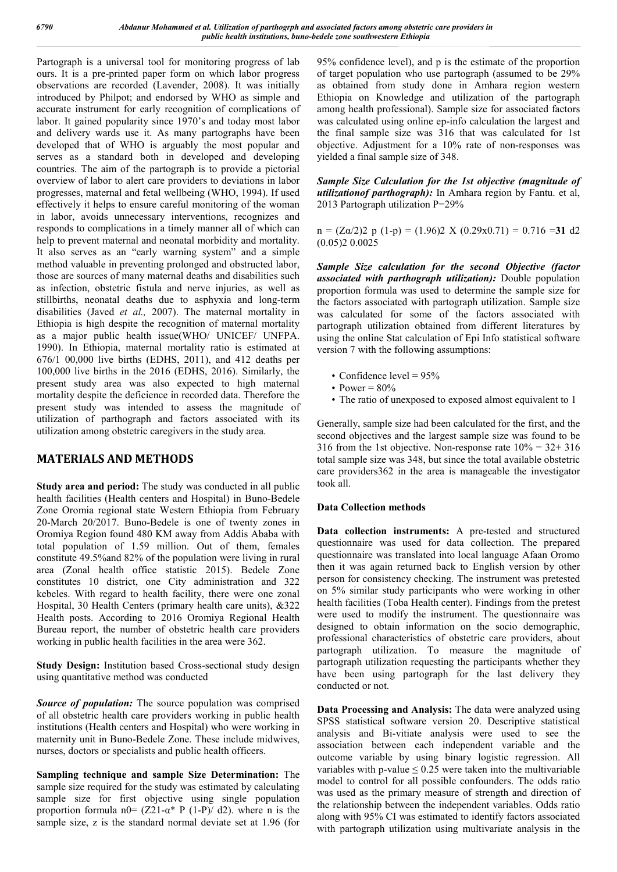Partograph is a universal tool for monitoring progress of lab ours. It is a pre-printed paper form on which labor progress observations are recorded (Lavender, 2008). It was initially introduced by Philpot; and endorsed by WHO as simple and accurate instrument for early recognition of complications of labor. It gained popularity since 1970's and today most labor and delivery wards use it. As many partographs have been developed that of WHO is arguably the most popular and serves as a standard both in developed and developing countries. The aim of the partograph is to provide a pictorial overview of labor to alert care providers to deviations in labor progresses, maternal and fetal wellbeing (WHO, 1994). If used effectively it helps to ensure careful monitoring of the woman in labor, avoids unnecessary interventions, recognizes and responds to complications in a timely manner all of which can help to prevent maternal and neonatal morbidity and mortality. It also serves as an "early warning system" and a simple method valuable in preventing prolonged and obstructed labor, those are sources of many maternal deaths and disabilities such as infection, obstetric fistula and nerve injuries, as well as stillbirths, neonatal deaths due to asphyxia and long-term disabilities (Javed *et al.,* 2007). The maternal mortality in Ethiopia is high despite the recognition of maternal mortality as a major public health issue(WHO/ UNICEF/ UNFPA. 1990). In Ethiopia, maternal mortality ratio is estimated at 676/1 00,000 live births (EDHS, 2011), and 412 deaths per 100,000 live births in the 2016 (EDHS, 2016). Similarly, the present study area was also expected to high maternal mortality despite the deficience in recorded data. Therefore the present study was intended to assess the magnitude of utilization of parthograph and factors associated with its utilization among obstetric caregivers in the study area.

## **MATERIALS AND METHODS**

**Study area and period:** The study was conducted in all public health facilities (Health centers and Hospital) in Buno-Bedele Zone Oromia regional state Western Ethiopia from February 20-March 20/2017. Buno-Bedele is one of twenty zones in Oromiya Region found 480 KM away from Addis Ababa with total population of 1.59 million. Out of them, females constitute 49.5%and 82% of the population were living in rural area (Zonal health office statistic 2015). Bedele Zone constitutes 10 district, one City administration and 322 kebeles. With regard to health facility, there were one zonal Hospital, 30 Health Centers (primary health care units), &322 Health posts. According to 2016 Oromiya Regional Health Bureau report, the number of obstetric health care providers working in public health facilities in the area were 362.

**Study Design:** Institution based Cross-sectional study design using quantitative method was conducted

*Source of population:* The source population was comprised of all obstetric health care providers working in public health institutions (Health centers and Hospital) who were working in maternity unit in Buno-Bedele Zone. These include midwives, nurses, doctors or specialists and public health officers.

**Sampling technique and sample Size Determination:** The sample size required for the study was estimated by calculating sample size for first objective using single population proportion formula n0=  $(Z21-\alpha^* P (1-P)/ d2)$ . where n is the sample size, z is the standard normal deviate set at 1.96 (for

95% confidence level), and p is the estimate of the proportion of target population who use partograph (assumed to be 29% as obtained from study done in Amhara region western Ethiopia on Knowledge and utilization of the partograph among health professional). Sample size for associated factors was calculated using online ep-info calculation the largest and the final sample size was 316 that was calculated for 1st objective. Adjustment for a 10% rate of non-responses was yielded a final sample size of 348.

*Sample Size Calculation for the 1st objective (magnitude of utilizationof parthograph):* In Amhara region by Fantu. et al, 2013 Partograph utilization P=29%

 $n = (Z\alpha/2)2$  p  $(1-p) = (1.96)2$  X  $(0.29x0.71) = 0.716 = 31$  d2 (0.05)2 0.0025

*Sample Size calculation for the second Objective (factor associated with parthograph utilization):* Double population proportion formula was used to determine the sample size for the factors associated with partograph utilization. Sample size was calculated for some of the factors associated with partograph utilization obtained from different literatures by using the online Stat calculation of Epi Info statistical software version 7 with the following assumptions:

- Confidence level  $= 95\%$
- Power =  $80\%$
- The ratio of unexposed to exposed almost equivalent to 1

Generally, sample size had been calculated for the first, and the second objectives and the largest sample size was found to be 316 from the 1st objective. Non-response rate  $10\% = 32 + 316$ total sample size was 348, but since the total available obstetric care providers362 in the area is manageable the investigator took all.

## **Data Collection methods**

**Data collection instruments:** A pre-tested and structured questionnaire was used for data collection. The prepared questionnaire was translated into local language Afaan Oromo then it was again returned back to English version by other person for consistency checking. The instrument was pretested on 5% similar study participants who were working in other health facilities (Toba Health center). Findings from the pretest were used to modify the instrument. The questionnaire was designed to obtain information on the socio demographic, professional characteristics of obstetric care providers, about partograph utilization. To measure the magnitude of partograph utilization requesting the participants whether they have been using partograph for the last delivery they conducted or not.

**Data Processing and Analysis:** The data were analyzed using SPSS statistical software version 20. Descriptive statistical analysis and Bi-vitiate analysis were used to see the association between each independent variable and the outcome variable by using binary logistic regression. All variables with p-value  $\leq 0.25$  were taken into the multivariable model to control for all possible confounders. The odds ratio was used as the primary measure of strength and direction of the relationship between the independent variables. Odds ratio along with 95% CI was estimated to identify factors associated with partograph utilization using multivariate analysis in the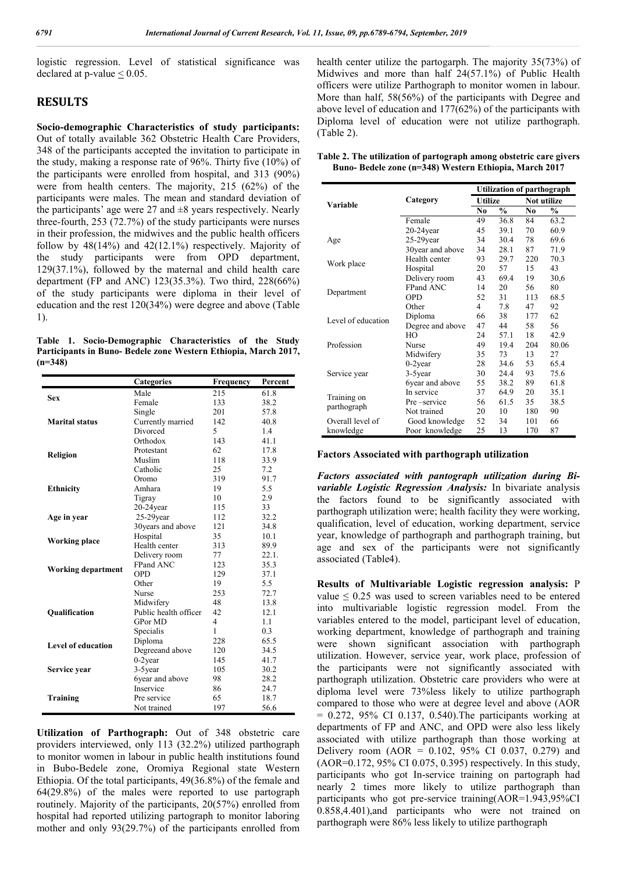logistic regression. Level of statistical significance was declared at p-value < 0.05.

# **RESULTS**

**Socio-demographic Characteristics of study participants:**  Out of totally available 362 Obstetric Health Care Providers, 348 of the participants accepted the invitation to participate in the study, making a response rate of 96%. Thirty five (10%) of the participants were enrolled from hospital, and 313 (90%) were from health centers. The majority, 215 (62%) of the participants were males. The mean and standard deviation of the participants' age were 27 and  $\pm 8$  years respectively. Nearly three-fourth, 253 (72.7%) of the study participants were nurses in their profession, the midwives and the public health officers follow by  $48(14\%)$  and  $42(12.1\%)$  respectively. Majority of the study participants were from OPD department, 129(37.1%), followed by the maternal and child health care department (FP and ANC) 123(35.3%). Two third, 228(66%) of the study participants were diploma in their level of education and the rest 120(34%) were degree and above (Table 1).

**Table 1. Socio-Demographic Characteristics of the Study Participants in Buno- Bedele zone Western Ethiopia, March 2017, (n=348)**

|                           | <b>Categories</b>     | Frequency      | Percent |
|---------------------------|-----------------------|----------------|---------|
| <b>Sex</b>                | Male                  | 215            | 61.8    |
|                           | Female                | 133            | 38.2    |
|                           | Single                | 201            | 57.8    |
| Marital status            | Currently married     | 142            | 40.8    |
|                           | Divorced              | 5              | 1.4     |
|                           | Orthodox              | 143            | 41.1    |
|                           | Protestant            | 62.            | 17.8    |
| Religion                  | Muslim                | 118            | 33.9    |
|                           | Catholic              | 25             | 7.2     |
|                           | Oromo                 | 319            | 91.7    |
| <b>Ethnicity</b>          | Amhara                | 19             | 5.5     |
|                           | Tigray                | 10             | 2.9     |
|                           | $20-24$ year          | 115            | 33      |
| Age in year               | $25-29$ year          | 112            | 32.2    |
|                           | 30 years and above    | 121            | 34.8    |
|                           | Hospital              | 35             | 10.1    |
| Working place             | Health center         | 313            | 89.9    |
|                           | Delivery room         | 77             | 22.1.   |
| <b>Working department</b> | FPand ANC             | 123            | 35.3    |
|                           | <b>OPD</b>            | 129            | 37.1    |
|                           | Other                 | 19             | 5.5     |
|                           | Nurse                 | 253            | 72.7    |
|                           | Midwifery             | 48             | 13.8    |
| <b>Oualification</b>      | Public health officer | 42             | 12.1    |
|                           | <b>GPor MD</b>        | $\overline{4}$ | 1.1     |
|                           | Specialis             | 1              | 0.3     |
| <b>Level of education</b> | Diploma               | 228            | 65.5    |
|                           | Degreeand above       | 120            | 34.5    |
|                           | $0-2$ year            | 145            | 41.7    |
| Service year              | 3-5year               | 105            | 30.2    |
|                           | 6year and above       | 98             | 28.2    |
|                           | Inservice             | 86             | 24.7    |
| <b>Training</b>           | Pre service           | 65             | 18.7    |
|                           | Not trained           | 197            | 56.6    |

**Utilization of Parthograph:** Out of 348 obstetric care providers interviewed, only 113 (32.2%) utilized parthograph to monitor women in labour in public health institutions found in Bubo-Bedele zone, Oromiya Regional state Western Ethiopia. Of the total participants, 49(36.8%) of the female and 64(29.8%) of the males were reported to use partograph routinely. Majority of the participants, 20(57%) enrolled from hospital had reported utilizing partograph to monitor laboring mother and only 93(29.7%) of the participants enrolled from

health center utilize the partogarph. The majority 35(73%) of Midwives and more than half 24(57.1%) of Public Health officers were utilize Parthograph to monitor women in labour. More than half, 58(56%) of the participants with Degree and above level of education and 177(62%) of the participants with Diploma level of education were not utilize parthograph. (Table 2).

|  |                                                        | Table 2. The utilization of partograph among obstetric care givers |  |
|--|--------------------------------------------------------|--------------------------------------------------------------------|--|
|  | Buno- Bedele zone (n=348) Western Ethiopia, March 2017 |                                                                    |  |

|                    |                  |                | <b>Utilization of parthograph</b> |     |               |  |  |
|--------------------|------------------|----------------|-----------------------------------|-----|---------------|--|--|
| Variable           | Category         | <b>Utilize</b> |                                   |     | Not utilize   |  |  |
|                    |                  | No             | $\frac{0}{0}$                     | No  | $\frac{0}{0}$ |  |  |
|                    | Female           | 49             | 36.8                              | 84  | 63.2          |  |  |
|                    | 20-24year        | 45             | 39.1                              | 70  | 60.9          |  |  |
| Age                | $25-29$ year     | 34             | 30.4                              | 78  | 69.6          |  |  |
|                    | 30year and above | 34             | 28.1                              | 87  | 71.9          |  |  |
|                    | Health center    | 93             | 29.7                              | 220 | 70.3          |  |  |
| Work place         | Hospital         | 20             | 57                                | 15  | 43            |  |  |
|                    | Delivery room    | 43             | 69.4                              | 19  | 30,6          |  |  |
|                    | <b>FPand ANC</b> | 14             | 20                                | 56  | 80            |  |  |
| Department         | OPD              | 52             | 31                                | 113 | 68.5          |  |  |
|                    | Other            | 4              | 7.8                               | 47  | 92            |  |  |
|                    | Diploma          | 66             | 38                                | 177 | 62            |  |  |
| Level of education | Degree and above | 47             | 44                                | 58  | 56            |  |  |
|                    | HO               | 24             | 57.1                              | 18  | 42.9          |  |  |
| Profession         | Nurse            | 49             | 19.4                              | 204 | 80.06         |  |  |
|                    | Midwifery        | 35             | 73                                | 13  | 27            |  |  |
|                    | $0-2$ year       | 28             | 34.6                              | 53  | 65.4          |  |  |
| Service year       | 3-5 year         | 30             | 24.4                              | 93  | 75.6          |  |  |
|                    | 6year and above  | 55             | 38.2                              | 89  | 61.8          |  |  |
| Training on        | In service       | 37             | 64.9                              | 20  | 35.1          |  |  |
| parthograph        | Pre-service      | 56             | 61.5                              | 35  | 38.5          |  |  |
|                    | Not trained      | 20             | 10                                | 180 | 90            |  |  |
| Overall level of   | Good knowledge   | 52             | 34                                | 101 | 66            |  |  |
| knowledge          | Poor knowledge   | 25             | 13                                | 170 | 87            |  |  |

#### **Factors Associated with parthograph utilization**

*Factors associated with pantograph utilization during Bivariable Logistic Regression Analysis:* In bivariate analysis the factors found to be significantly associated with parthograph utilization were; health facility they were working, qualification, level of education, working department, service year, knowledge of parthograph and parthograph training, but age and sex of the participants were not significantly associated (Table4).

**Results of Multivariable Logistic regression analysis:** P value  $\leq 0.25$  was used to screen variables need to be entered into multivariable logistic regression model. From the variables entered to the model, participant level of education, working department, knowledge of parthograph and training were shown significant association with parthograph utilization. However, service year, work place, profession of the participants were not significantly associated with parthograph utilization. Obstetric care providers who were at diploma level were 73%less likely to utilize parthograph compared to those who were at degree level and above (AOR  $= 0.272$ , 95% CI 0.137, 0.540). The participants working at departments of FP and ANC, and OPD were also less likely associated with utilize parthograph than those working at Delivery room (AOR = 0.102, 95% CI 0.037, 0.279) and (AOR=0.172, 95% CI 0.075, 0.395) respectively. In this study, participants who got In-service training on partograph had nearly 2 times more likely to utilize parthograph than participants who got pre-service training(AOR=1.943,95%CI 0.858,4.401),and participants who were not trained on parthograph were 86% less likely to utilize parthograph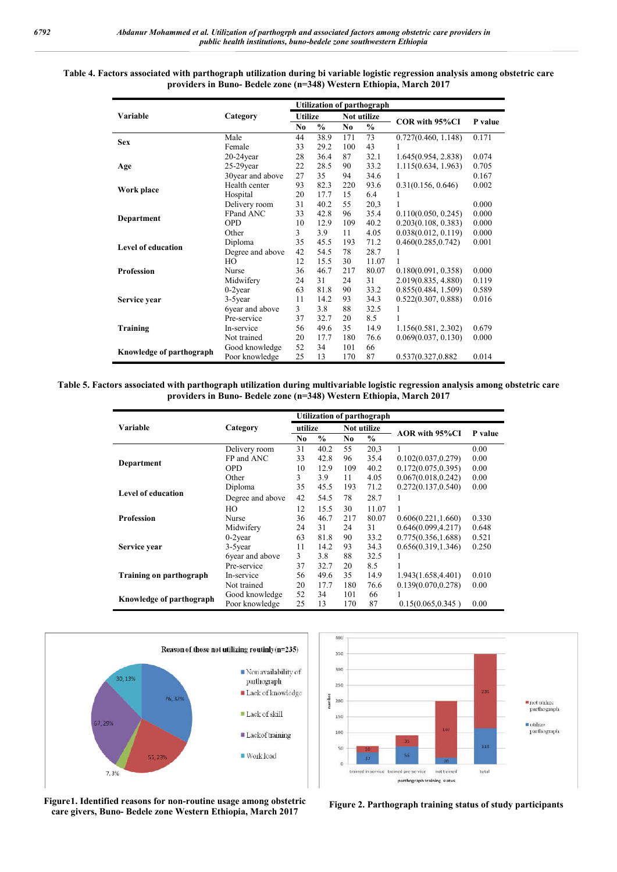#### **Table 4. Factors associated with parthograph utilization during bi variable logistic regression analysis among obstetric care providers in Buno Buno- Bedele zone (n=348) Western Ethiopia, March 2017**

|                                                                      | providers in Buno- Bedele zone (n=348) Western Ethiopia, March 2017 |                |               |            |                                                  |                                                                          |                 |
|----------------------------------------------------------------------|---------------------------------------------------------------------|----------------|---------------|------------|--------------------------------------------------|--------------------------------------------------------------------------|-----------------|
| Variable                                                             | Category                                                            | <b>Utilize</b> |               |            | <b>Utilization of parthograph</b><br>Not utilize |                                                                          |                 |
|                                                                      |                                                                     | No             | $\frac{0}{0}$ | No         | $\frac{0}{0}$                                    | COR with 95%CI                                                           | P value         |
| <b>Sex</b>                                                           | Male                                                                | 44             | 38.9          | 171        | 73                                               | 0.727(0.460, 1.148)                                                      | 0.171           |
|                                                                      | Female<br>$20-24$ year                                              | 33<br>28       | 29.2<br>36.4  | 100<br>87  | 43<br>32.1                                       | 1<br>1.645(0.954, 2.838)                                                 | 0.074           |
| Age                                                                  | $25-29$ year                                                        | 22             | 28.5          | 90         | 33.2                                             | 1.115(0.634, 1.963)                                                      | 0.705           |
|                                                                      | 30year and above                                                    | 27             | 35            | 94         | 34.6                                             | 1                                                                        | 0.167           |
| Work place                                                           | Health center                                                       | 93             | 82.3          | 220        | 93.6                                             | 0.31(0.156, 0.646)                                                       | 0.002           |
|                                                                      | Hospital<br>Delivery room                                           | 20<br>31       | 17.7<br>40.2  | 15<br>55   | 6.4<br>20,3                                      | 1<br>1                                                                   | 0.000           |
|                                                                      | FPand ANC                                                           | 33             | 42.8          | 96         | 35.4                                             | 0.110(0.050, 0.245)                                                      | 0.000           |
| <b>Department</b>                                                    | <b>OPD</b>                                                          | 10             | 12.9          | 109        | 40.2                                             | 0.203(0.108, 0.383)                                                      | 0.000           |
|                                                                      | Other                                                               | 3              | 3.9           | 11         | 4.05                                             | 0.038(0.012, 0.119)                                                      | 0.000           |
| <b>Level of education</b>                                            | Diploma<br>Degree and above                                         | 35<br>42       | 45.5<br>54.5  | 193<br>78  | 71.2<br>28.7                                     | 0.460(0.285, 0.742)<br>1                                                 | 0.001           |
|                                                                      | HО                                                                  | 12             | 15.5          | 30         | 11.07                                            | 1                                                                        |                 |
| <b>Profession</b>                                                    | Nurse                                                               | 36             | 46.7          | 217        | 80.07                                            | 0.180(0.091, 0.358)                                                      | 0.000           |
|                                                                      | Midwifery                                                           | 24             | 31            | 24         | 31                                               | 2.019(0.835, 4.880)                                                      | 0.119           |
|                                                                      | $0-2$ year                                                          | 63             | 81.8          | 90         | 33.2                                             | 0.855(0.484, 1.509)                                                      | 0.589           |
| Service year                                                         | 3-5year<br>6year and above                                          | 11<br>3        | 14.2<br>3.8   | 93<br>88   | 34.3<br>32.5                                     | 0.522(0.307, 0.888)<br>1                                                 | 0.016           |
|                                                                      | Pre-service                                                         | 37             | 32.7          | 20         | 8.5                                              | 1                                                                        |                 |
| Training                                                             | In-service                                                          | 56             | 49.6          | 35         | 14.9                                             | 1.156(0.581, 2.302)                                                      | 0.679           |
|                                                                      | Not trained                                                         | 20             | 17.7          | 180        | 76.6                                             | 0.069(0.037, 0.130)                                                      | 0.000           |
| Knowledge of parthograph                                             | Good knowledge<br>Poor knowledge                                    | 52<br>25       | 34<br>13      | 101<br>170 | 66<br>87                                         | 0.537(0.327,0.882)                                                       | 0.014           |
|                                                                      |                                                                     |                |               |            |                                                  |                                                                          |                 |
|                                                                      | Category                                                            | utilize        |               |            | <b>Utilization of parthograph</b><br>Not utilize |                                                                          |                 |
|                                                                      |                                                                     | No             | $\frac{0}{0}$ | No         | $\%$                                             | AOR with 95%CI                                                           |                 |
|                                                                      | Delivery room                                                       | 31             | 40.2          | 55         | 20,3                                             | 1                                                                        | 0.00            |
|                                                                      | FP and ANC<br><b>OPD</b>                                            | 33<br>10       | 42.8<br>12.9  | 96<br>109  | 35.4<br>40.2                                     | 0.102(0.037, 0.279)<br>0.172(0.075, 0.395)                               | 0.00<br>0.00    |
| Variable<br>Department                                               | Other                                                               | 3              | 3.9           | 11         | 4.05                                             | 0.067(0.018, 0.242)                                                      | 0.00            |
|                                                                      | Diploma                                                             | 35             | 45.5          | 193        | 71.2                                             | 0.272(0.137, 0.540)                                                      | P value<br>0.00 |
|                                                                      | Degree and above                                                    | 42             | 54.5          | 78         | 28.7                                             | 1                                                                        |                 |
| <b>Level of education</b>                                            | HО                                                                  | 12             | 15.5          | 30         | 11.07                                            | 1                                                                        |                 |
|                                                                      | Nurse<br>Midwifery                                                  | 36<br>24       | 46.7<br>31    | 217<br>24  | 80.07<br>31                                      | 0.606(0.221, 1.660)<br>0.646(0.099, 4.217)                               | 0.330<br>0.648  |
|                                                                      | $0-2$ year                                                          | 63             | 81.8          | 90         | 33.2                                             | 0.775(0.356, 1.688)                                                      | 0.521           |
|                                                                      | 3-5 year                                                            | 11             | 14.2          | 93         | 34.3                                             | 0.656(0.319, 1.346)                                                      | 0.250           |
|                                                                      | 6year and above                                                     | 3              | 3.8           | 88         | 32.5                                             | 1                                                                        |                 |
| <b>Profession</b><br>Service year                                    | Pre-service<br>In-service                                           | 37<br>56       | 32.7<br>49.6  | 20<br>35   | 8.5<br>14.9                                      | 1                                                                        | 0.010           |
|                                                                      | Not trained                                                         | 20             | 17.7          | 180        | 76.6                                             | 1.943(1.658,4.401)<br>0.139(0.070, 0.278)                                | 0.00            |
|                                                                      | Good knowledge                                                      | 52             | 34            | 101        | 66                                               | 1                                                                        |                 |
|                                                                      | Poor knowledge                                                      | 25             | 13            | 170        | 87                                               | 0.15(0.065, 0.345)                                                       | 0.00            |
|                                                                      | Reason of those not utilizing routinly $(n=235)$                    |                |               | 400<br>350 |                                                  |                                                                          |                 |
|                                                                      | $\blacksquare$ Non availability of                                  |                |               | 300        |                                                  |                                                                          |                 |
|                                                                      | parthograph                                                         |                |               | 250        |                                                  |                                                                          |                 |
| 76, 32%                                                              | Lack of knowledge                                                   |                |               | 200        |                                                  |                                                                          | 235             |
|                                                                      |                                                                     |                | numbre        |            |                                                  |                                                                          |                 |
|                                                                      | Lack of skill                                                       |                |               | 150        |                                                  |                                                                          |                 |
|                                                                      | ■ Lackof training                                                   |                |               | 100        |                                                  | 280                                                                      |                 |
|                                                                      |                                                                     |                |               | 50         |                                                  | 35                                                                       | 113             |
| 55, 23%                                                              | ■ Work load                                                         |                |               |            | 37                                               | 56                                                                       |                 |
| <b>Training on parthograph</b><br>Knowledge of parthograph<br>30,13% |                                                                     |                |               | ö          |                                                  | $\overline{20}$<br>trained in service trained pre-service<br>not trained | total           |

**Table 5. Factors associated with parthograph utilization during multivariable logistic regression analysis among obstetric care during providers in Buno Buno- Bedele zone (n=348) Western Ethiopia, March 2017**

|                          |                  | <b>Utilization of parthograph</b> |         |     |               |                       |         |
|--------------------------|------------------|-----------------------------------|---------|-----|---------------|-----------------------|---------|
| Variable                 | Category         |                                   | utilize |     | Not utilize   |                       |         |
|                          |                  | No.                               | $\%$    | No  | $\frac{0}{0}$ | <b>AOR</b> with 95%CI | P value |
|                          | Delivery room    | 31                                | 40.2    | 55  | 20,3          |                       | 0.00    |
|                          | FP and ANC       | 33                                | 42.8    | 96  | 35.4          | 0.102(0.037, 0.279)   | 0.00    |
| Department               | <b>OPD</b>       | 10                                | 12.9    | 109 | 40.2          | 0.172(0.075, 0.395)   | 0.00    |
|                          | Other            | 3                                 | 3.9     | 11  | 4.05          | 0.067(0.018, 0.242)   | 0.00    |
|                          | Diploma          | 35                                | 45.5    | 193 | 71.2          | 0.272(0.137, 0.540)   | 0.00    |
| Level of education       | Degree and above | 42                                | 54.5    | 78  | 28.7          |                       |         |
|                          | HO               | 12                                | 15.5    | 30  | 11.07         |                       |         |
| <b>Profession</b>        | Nurse            | 36                                | 46.7    | 217 | 80.07         | 0.606(0.221, 1.660)   | 0.330   |
|                          | Midwifery        | 24                                | 31      | 24  | 31            | 0.646(0.099, 4.217)   | 0.648   |
|                          | $0-2$ year       | 63                                | 81.8    | 90  | 33.2          | 0.775(0.356, 1.688)   | 0.521   |
| Service year             | $3-5$ year       | 11                                | 14.2    | 93  | 34.3          | 0.656(0.319, 1.346)   | 0.250   |
|                          | 6year and above  | 3                                 | 3.8     | 88  | 32.5          |                       |         |
|                          | Pre-service      | 37                                | 32.7    | 20  | 8.5           |                       |         |
| Training on parthograph  | In-service       | 56                                | 49.6    | 35  | 14.9          | 1.943(1.658,4.401)    | 0.010   |
|                          | Not trained      | 20                                | 17.7    | 180 | 76.6          | 0.139(0.070, 0.278)   | 0.00    |
|                          | Good knowledge   | 52                                | 34      | 101 | 66            |                       |         |
| Knowledge of parthograph | Poor knowledge   | 25                                | 13      | 170 | 87            | 0.15(0.065, 0.345)    | 0.00    |



400 350 300 250 and have  $\frac{1}{200}$  $\blacksquare$  not utilize<br>parthograph 150  $\quad \bullet$ utilize $\quad \text{par}$ thograph 100 Ħ 50  $\ddot{\circ}$ total trained in service trained pre-service not trained parthograph training status

**Figure1. Identified reasons for non-routine usage among obstetric care givers, Buno- Bedele zone Western Ethiopia, March 2017**

**Figure 2. Parthograph training status of study participants**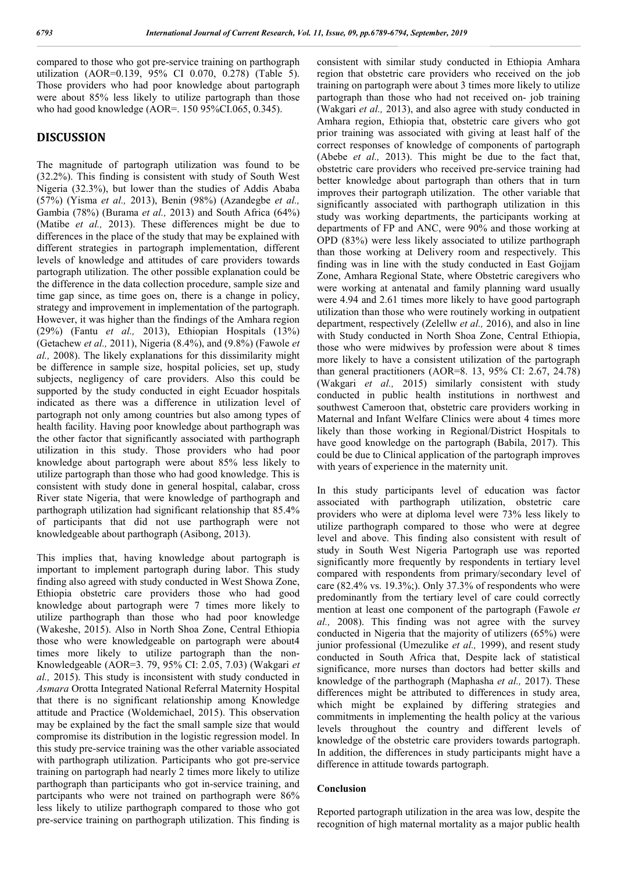compared to those who got pre-service training on parthograph utilization (AOR=0.139, 95% CI 0.070, 0.278) (Table 5). Those providers who had poor knowledge about partograph were about 85% less likely to utilize partograph than those who had good knowledge (AOR=. 150 95%CI.065, 0.345).

## **DISCUSSION**

The magnitude of partograph utilization was found to be (32.2%). This finding is consistent with study of South West Nigeria (32.3%), but lower than the studies of Addis Ababa (57%) (Yisma *et al.,* 2013), Benin (98%) (Azandegbe *et al.,* Gambia (78%) (Burama *et al.,* 2013) and South Africa (64%) (Matibe *et al.,* 2013). These differences might be due to differences in the place of the study that may be explained with different strategies in partograph implementation, different levels of knowledge and attitudes of care providers towards partograph utilization. The other possible explanation could be the difference in the data collection procedure, sample size and time gap since, as time goes on, there is a change in policy, strategy and improvement in implementation of the partograph. However, it was higher than the findings of the Amhara region (29%) (Fantu *et al.,* 2013), Ethiopian Hospitals (13%) (Getachew *et al.,* 2011), Nigeria (8.4%), and (9.8%) (Fawole *et al.,* 2008). The likely explanations for this dissimilarity might be difference in sample size, hospital policies, set up, study subjects, negligency of care providers. Also this could be supported by the study conducted in eight Ecuador hospitals indicated as there was a difference in utilization level of partograph not only among countries but also among types of health facility. Having poor knowledge about parthograph was the other factor that significantly associated with parthograph utilization in this study. Those providers who had poor knowledge about partograph were about 85% less likely to utilize partograph than those who had good knowledge. This is consistent with study done in general hospital, calabar, cross River state Nigeria, that were knowledge of parthograph and parthograph utilization had significant relationship that 85.4% of participants that did not use parthograph were not knowledgeable about parthograph (Asibong, 2013).

This implies that, having knowledge about partograph is important to implement partograph during labor. This study finding also agreed with study conducted in West Showa Zone, Ethiopia obstetric care providers those who had good knowledge about partograph were 7 times more likely to utilize parthograph than those who had poor knowledge (Wakeshe, 2015). Also in North Shoa Zone, Central Ethiopia those who were knowledgeable on partograph were about4 times more likely to utilize partograph than the non-Knowledgeable (AOR=3. 79, 95% CI: 2.05, 7.03) (Wakgari *et al.,* 2015). This study is inconsistent with study conducted in *Asmara* Orotta Integrated National Referral Maternity Hospital that there is no significant relationship among Knowledge attitude and Practice (Woldemichael, 2015). This observation may be explained by the fact the small sample size that would compromise its distribution in the logistic regression model. In this study pre-service training was the other variable associated with parthograph utilization. Participants who got pre-service training on partograph had nearly 2 times more likely to utilize parthograph than participants who got in-service training, and partcipants who were not trained on parthograph were 86% less likely to utilize parthograph compared to those who got pre-service training on parthograph utilization. This finding is

consistent with similar study conducted in Ethiopia Amhara region that obstetric care providers who received on the job training on partograph were about 3 times more likely to utilize partograph than those who had not received on- job training (Wakgari *et al.,* 2013), and also agree with study conducted in Amhara region, Ethiopia that, obstetric care givers who got prior training was associated with giving at least half of the correct responses of knowledge of components of partograph (Abebe *et al.,* 2013). This might be due to the fact that, obstetric care providers who received pre-service training had better knowledge about partograph than others that in turn improves their partograph utilization. The other variable that significantly associated with parthograph utilization in this study was working departments, the participants working at departments of FP and ANC, were 90% and those working at OPD (83%) were less likely associated to utilize parthograph than those working at Delivery room and respectively. This finding was in line with the study conducted in East Gojjam Zone, Amhara Regional State, where Obstetric caregivers who were working at antenatal and family planning ward usually were 4.94 and 2.61 times more likely to have good partograph utilization than those who were routinely working in outpatient department, respectively (Zelellw *et al.,* 2016), and also in line with Study conducted in North Shoa Zone, Central Ethiopia, those who were midwives by profession were about 8 times more likely to have a consistent utilization of the partograph than general practitioners (AOR=8. 13, 95% CI: 2.67, 24.78) (Wakgari *et al.,* 2015) similarly consistent with study conducted in public health institutions in northwest and southwest Cameroon that, obstetric care providers working in Maternal and Infant Welfare Clinics were about 4 times more likely than those working in Regional/District Hospitals to have good knowledge on the partograph (Babila, 2017). This could be due to Clinical application of the partograph improves with years of experience in the maternity unit.

In this study participants level of education was factor associated with parthograph utilization, obstetric care providers who were at diploma level were 73% less likely to utilize parthograph compared to those who were at degree level and above. This finding also consistent with result of study in South West Nigeria Partograph use was reported significantly more frequently by respondents in tertiary level compared with respondents from primary/secondary level of care  $(82.4\% \text{ vs. } 19.3\%)$ . Only 37.3% of respondents who were predominantly from the tertiary level of care could correctly mention at least one component of the partograph (Fawole *et al.,* 2008). This finding was not agree with the survey conducted in Nigeria that the majority of utilizers (65%) were junior professional (Umezulike *et al.,* 1999), and resent study conducted in South Africa that, Despite lack of statistical significance, more nurses than doctors had better skills and knowledge of the parthograph (Maphasha *et al.,* 2017). These differences might be attributed to differences in study area, which might be explained by differing strategies and commitments in implementing the health policy at the various levels throughout the country and different levels of knowledge of the obstetric care providers towards partograph. In addition, the differences in study participants might have a difference in attitude towards partograph.

## **Conclusion**

Reported partograph utilization in the area was low, despite the recognition of high maternal mortality as a major public health